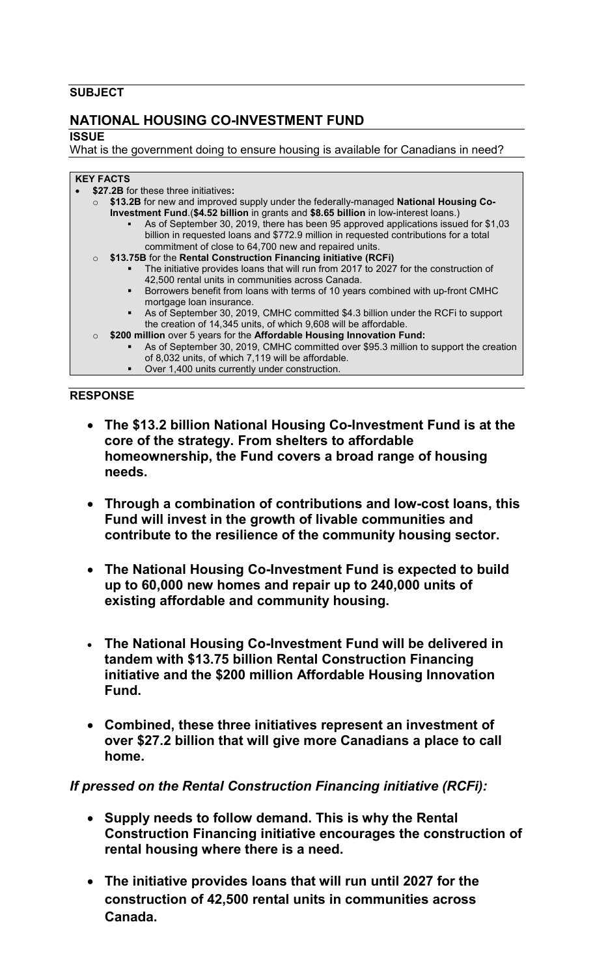### **SUBJECT**

# **NATIONAL HOUSING CO-INVESTMENT FUND**

#### **ISSUE**

What is the government doing to ensure housing is available for Canadians in need?

| <b>KEY FACTS</b> |                                                                                       |                                                                                                       |  |  |  |  |
|------------------|---------------------------------------------------------------------------------------|-------------------------------------------------------------------------------------------------------|--|--|--|--|
|                  | \$27.2B for these three initiatives:                                                  |                                                                                                       |  |  |  |  |
|                  | \$13.2B for new and improved supply under the federally-managed National Housing Co-  |                                                                                                       |  |  |  |  |
|                  | Investment Fund. (\$4.52 billion in grants and \$8.65 billion in low-interest loans.) |                                                                                                       |  |  |  |  |
|                  |                                                                                       | As of September 30, 2019, there has been 95 approved applications issued for \$1,03<br>$\blacksquare$ |  |  |  |  |
|                  |                                                                                       | billion in requested loans and \$772.9 million in requested contributions for a total                 |  |  |  |  |
|                  |                                                                                       | commitment of close to 64,700 new and repaired units.                                                 |  |  |  |  |
|                  | ○ \$13.75B for the Rental Construction Financing initiative (RCFi)                    |                                                                                                       |  |  |  |  |
|                  |                                                                                       | The initiative provides loans that will run from 2017 to 2027 for the construction of                 |  |  |  |  |
|                  |                                                                                       | 42,500 rental units in communities across Canada.                                                     |  |  |  |  |
|                  |                                                                                       | Borrowers benefit from loans with terms of 10 years combined with up-front CMHC<br>$\blacksquare$     |  |  |  |  |
|                  |                                                                                       | mortgage loan insurance.                                                                              |  |  |  |  |
|                  |                                                                                       | As of September 30, 2019, CMHC committed \$4.3 billion under the RCFi to support<br>$\blacksquare$    |  |  |  |  |
|                  |                                                                                       | the creation of 14,345 units, of which 9,608 will be affordable.                                      |  |  |  |  |
|                  | \$200 million over 5 years for the Affordable Housing Innovation Fund:<br>$\circ$     |                                                                                                       |  |  |  |  |
|                  |                                                                                       | As of September 30, 2019, CMHC committed over \$95.3 million to support the creation                  |  |  |  |  |
|                  |                                                                                       | of 8,032 units, of which 7,119 will be affordable.                                                    |  |  |  |  |
|                  |                                                                                       | Over 1,400 units currently under construction.                                                        |  |  |  |  |

### **RESPONSE**

- **The \$13.2 billion National Housing Co-Investment Fund is at the core of the strategy. From shelters to affordable homeownership, the Fund covers a broad range of housing needs.**
- **Through a combination of contributions and low-cost loans, this Fund will invest in the growth of livable communities and contribute to the resilience of the community housing sector.**
- **The National Housing Co-Investment Fund is expected to build up to 60,000 new homes and repair up to 240,000 units of existing affordable and community housing.**
- **The National Housing Co-Investment Fund will be delivered in tandem with \$13.75 billion Rental Construction Financing initiative and the \$200 million Affordable Housing Innovation Fund.**
- **Combined, these three initiatives represent an investment of over \$27.2 billion that will give more Canadians a place to call home.**

## *If pressed on the Rental Construction Financing initiative (RCFi):*

- **Supply needs to follow demand. This is why the Rental Construction Financing initiative encourages the construction of rental housing where there is a need.**
- **The initiative provides loans that will run until 2027 for the construction of 42,500 rental units in communities across Canada.**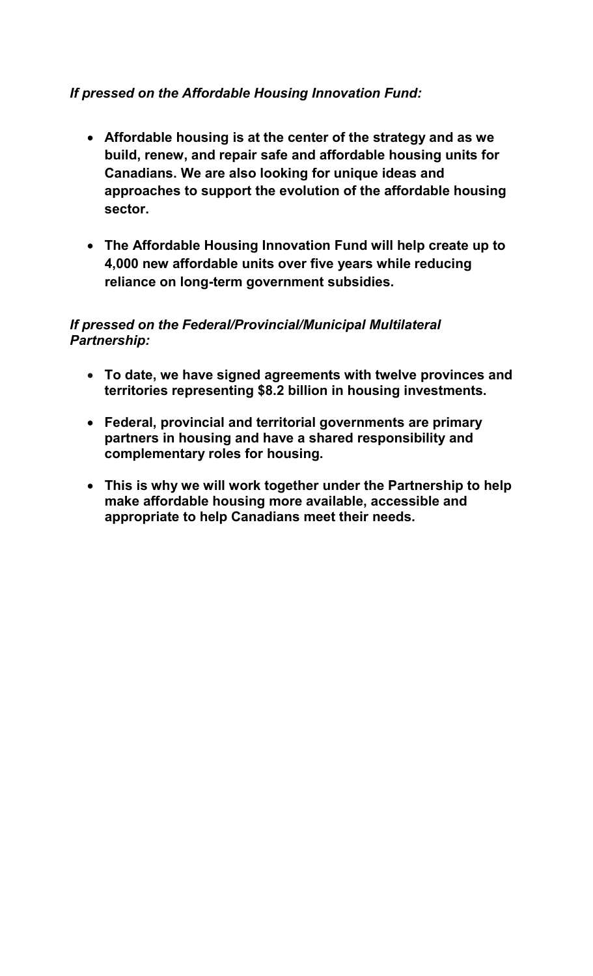# *If pressed on the Affordable Housing Innovation Fund:*

- **Affordable housing is at the center of the strategy and as we build, renew, and repair safe and affordable housing units for Canadians. We are also looking for unique ideas and approaches to support the evolution of the affordable housing sector.**
- **The Affordable Housing Innovation Fund will help create up to 4,000 new affordable units over five years while reducing reliance on long-term government subsidies.**

# *If pressed on the Federal/Provincial/Municipal Multilateral Partnership:*

- **To date, we have signed agreements with twelve provinces and territories representing \$8.2 billion in housing investments.**
- **Federal, provincial and territorial governments are primary partners in housing and have a shared responsibility and complementary roles for housing.**
- **This is why we will work together under the Partnership to help make affordable housing more available, accessible and appropriate to help Canadians meet their needs.**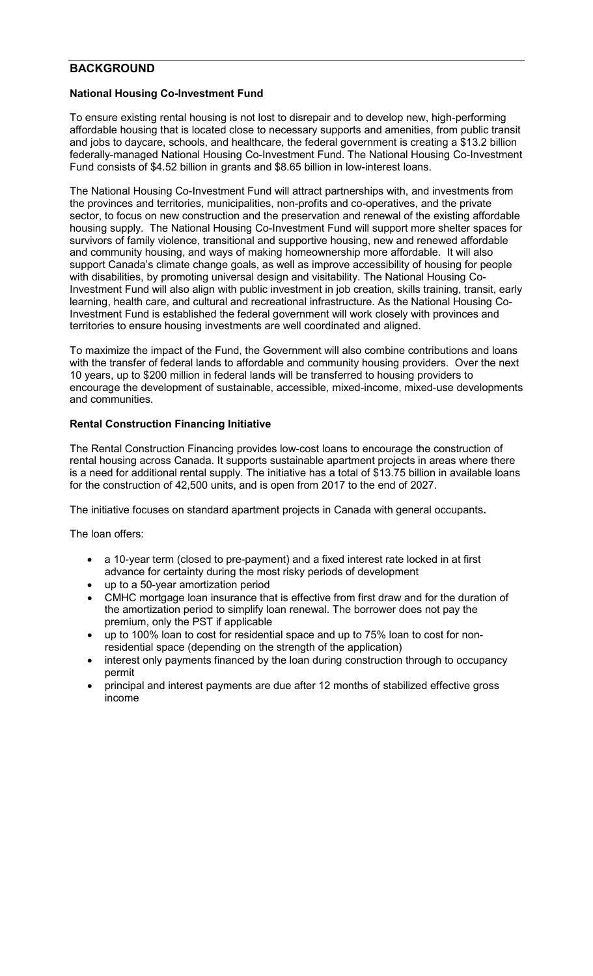### **BACKGROUND**

#### **National Housing Co-Investment Fund**

To ensure existing rental housing is not lost to disrepair and to develop new, high-performing affordable housing that is located close to necessary supports and amenities, from public transit and jobs to daycare, schools, and healthcare, the federal government is creating a \$13.2 billion federally-managed National Housing Co-Investment Fund. The National Housing Co-Investment Fund consists of \$4.52 billion in grants and \$8.65 billion in low-interest loans.

The National Housing Co-Investment Fund will attract partnerships with, and investments from the provinces and territories, municipalities, non-profits and co-operatives, and the private sector, to focus on new construction and the preservation and renewal of the existing affordable housing supply. The National Housing Co-Investment Fund will support more shelter spaces for survivors of family violence, transitional and supportive housing, new and renewed affordable and community housing, and ways of making homeownership more affordable. It will also support Canada's climate change goals, as well as improve accessibility of housing for people with disabilities, by promoting universal design and visitability. The National Housing Co-Investment Fund will also align with public investment in job creation, skills training, transit, early learning, health care, and cultural and recreational infrastructure. As the National Housing Co-Investment Fund is established the federal government will work closely with provinces and territories to ensure housing investments are well coordinated and aligned.

To maximize the impact of the Fund, the Government will also combine contributions and loans with the transfer of federal lands to affordable and community housing providers. Over the next 10 years, up to \$200 million in federal lands will be transferred to housing providers to encourage the development of sustainable, accessible, mixed-income, mixed-use developments and communities.

### **Rental Construction Financing Initiative**

The Rental Construction Financing provides low-cost loans to encourage the construction of rental housing across Canada. It supports sustainable apartment projects in areas where there is a need for additional rental supply. The initiative has a total of \$13.75 billion in available loans for the construction of 42,500 units, and is open from 2017 to the end of 2027.

The initiative focuses on standard apartment projects in Canada with general occupants**.** 

The loan offers:

- a 10-year term (closed to pre-payment) and a fixed interest rate locked in at first advance for certainty during the most risky periods of development
- up to a 50-year amortization period
- CMHC mortgage loan insurance that is effective from first draw and for the duration of the amortization period to simplify loan renewal. The borrower does not pay the premium, only the PST if applicable
- up to 100% loan to cost for residential space and up to 75% loan to cost for nonresidential space (depending on the strength of the application)
- interest only payments financed by the loan during construction through to occupancy permit
- principal and interest payments are due after 12 months of stabilized effective gross income